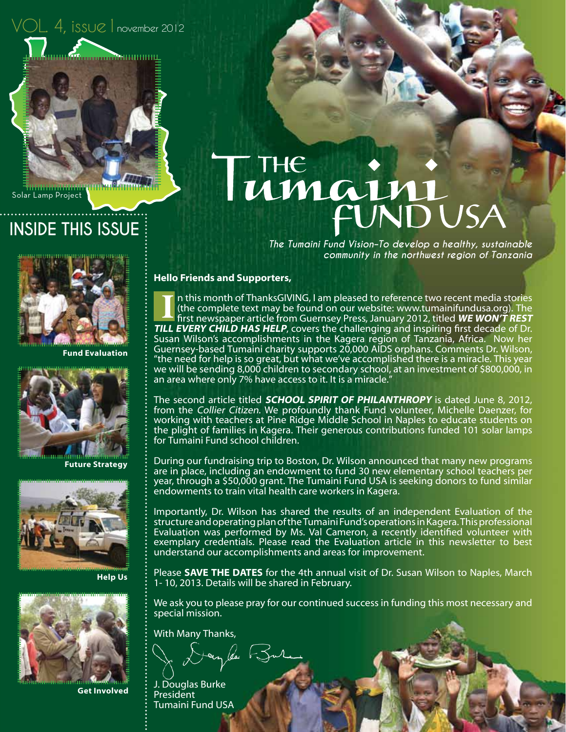$OL.$   $4$ , issue 1 november 2012

Solar Lamp Project

### **INSIDE THIS ISSUE**



**Fund Evaluation**



**Future Strategy**



**Help Us**



**Get Involved**

# THE : FUNDUSA

*The Tumaini Fund Vision–To develop a healthy, sustainable community in the northwest region of Tanzania*

#### **Hello Friends and Supporters,**

n this month of ThanksGIVING, I am pleased to reference two recent media stories (the complete text may be found on our website: www.tumainifundusa.org). The first newspaper article from Guernsey Press, January 2012, titled **WE WON'T REST TILL EVERY CHILD HAS HELP**, covers the challenging and inspiring first decade of Dr. Susan Wilson's accomplishments in the Kagera region of Tanzania, Africa. Now her Guernsey-based Tumaini charity supports 20,000 AIDS orphans. Comments Dr. Wilson, "the need for help is so great, but what we've accomplished there is a miracle. This year we will be sending 8,000 children to secondary school, at an investment of \$800,000, in an area where only 7% have access to it. It is a miracle." **I**

The second article titled **SCHOOL SPIRIT OF PHILANTHROPY** is dated June 8, 2012, from the Collier Citizen. We profoundly thank Fund volunteer, Michelle Daenzer, for working with teachers at Pine Ridge Middle School in Naples to educate students on the plight of families in Kagera. Their generous contributions funded 101 solar lamps for Tumaini Fund school children.

During our fundraising trip to Boston, Dr. Wilson announced that many new programs are in place, including an endowment to fund 30 new elementary school teachers per year, through a \$50,000 grant. The Tumaini Fund USA is seeking donors to fund similar endowments to train vital health care workers in Kagera.

Importantly, Dr. Wilson has shared the results of an independent Evaluation of the structure and operating plan of the Tumaini Fund's operations in Kagera. This professional Evaluation was performed by Ms. Val Cameron, a recently identified volunteer with exemplary credentials. Please read the Evaluation article in this newsletter to best understand our accomplishments and areas for improvement.

Please **SAVE THE DATES** for the 4th annual visit of Dr. Susan Wilson to Naples, March 1- 10, 2013. Details will be shared in February.

We ask you to please pray for our continued success in funding this most necessary and special mission.

With Many Thanks,

Dayles Bure

J. Douglas Burke **President** Tumaini Fund USA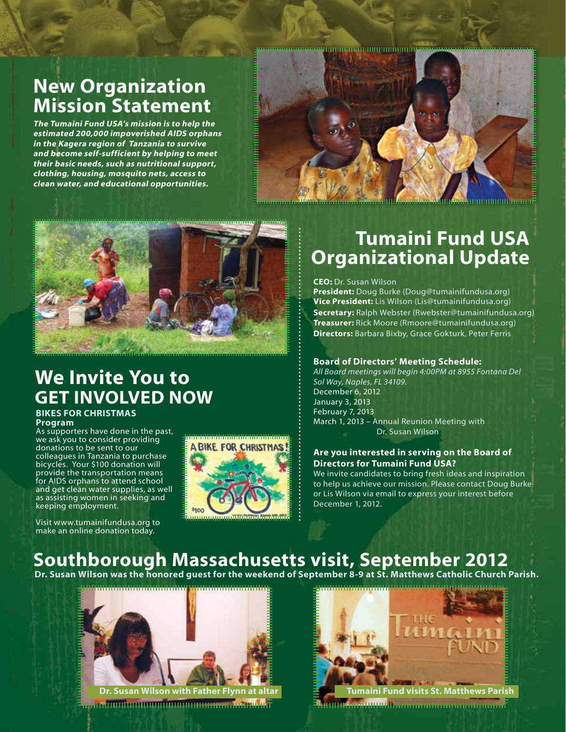### **New Organization Mission Statement**

**The Tumaini Fund USA's mission is to help the estimated 200,000 impoverished AIDS orphans in the Kagera region of Tanzania to survive and become self-sufficient by helping to meet their basic needs, such as nutritional support, clothing, housing, mosquito nets, access to clean water, and educational opportunities.**





### **We Invite You to GET INVOLVED NOW**

#### **BIKES FOR CHRISTMAS Program**

As supporters have done in the past, we ask you to consider providing donations to be sent to our colleagues in Tanzania to purchase bicycles. Your \$100 donation will provide the transportation means for AIDS orphans to attend school and get clean water supplies, as well as assisting women in seeking and keeping employment.

Visit www.tumainifundusa.org to make an online donation today.

**ABIKE FOR CHRISTMAS** 

### **Tumaini Fund USA Organizational Update**

**CEO:** Dr. Susan Wilson

**President:** Doug Burke (Doug@tumainifundusa.org) **Vice President:** Lis Wilson (Lis@tumainifundusa.org) **Secretary:** Ralph Webster (Rwebster@tumainifundusa.org) **Treasurer:** Rick Moore (Rmoore@tumainifundusa.org) **Directors:** Barbara Bixby, Grace Gokturk, Peter Ferris

### **Board of Directors' Meeting Schedule:**

*All Board meetings will begin 4:00PM at 8955 Fontana Del Sol Way, Naples, FL 34109.* December 6, 2012 January 3, 2013 February 7, 2013 March 1, 2013 – Annual Reunion Meeting with Dr. Susan Wilson

#### **Are you interested in serving on the Board of Directors for Tumaini Fund USA?**

We invite candidates to bring fresh ideas and inspiration to help us achieve our mission. Please contact Doug Burke or Lis Wilson via email to express your interest before December 1, 2012.

### **Southborough Massachusetts visit, September 2012**

**Dr. Susan Wilson was the honored guest for the weekend of September 8-9 at St. Matthews Catholic Church Parish.** 



amaning undurung unturung manakang ma

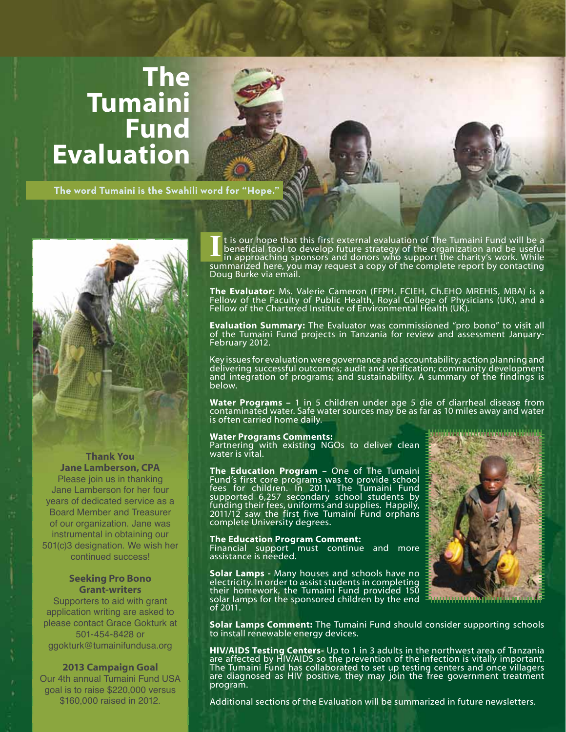## **The Tumaini Fund Evaluation**

**The word Tumaini is the Swahili word for "Hope."**



### **Thank You Jane Lamberson, CPA**

Please join us in thanking Jane Lamberson for her four years of dedicated service as a Board Member and Treasurer of our organization. Jane was instrumental in obtaining our 501(c)3 designation. We wish her continued success!

### **Seeking Pro Bono Grant-writers**

Supporters to aid with grant application writing are asked to please contact Grace Gokturk at 501-454-8428 or ggokturk@tumainifundusa.org

### **2013 Campaign Goal**

Our 4th annual Tumaini Fund USA goal is to raise \$220,000 versus \$160,000 raised in 2012.

It is our hope that this first external evaluation of The Tumaini Fund will be a beneficial tool to develop future strategy of the organization and be useful in approaching sponsors and donors who support the charity's wor beneficial tool to develop future strategy of the organization and be useful in approaching sponsors and donors who support the charity's work. While summarized here, you may request a copy of the complete report by contacting Doug Burke via email.

**The Evaluator:** Ms. Valerie Cameron (FFPH, FCIEH, Ch.EHO MREHIS, MBA) is a Fellow of the Faculty of Public Health, Royal College of Physicians (UK), and a Fellow of the Chartered Institute of Environmental Health (UK).

**Evaluation Summary:** The Evaluator was commissioned "pro bono" to visit all of the Tumaini Fund projects in Tanzania for review and assessment January-February 2012.

Key issues for evaluation were governance and accountability; action planning and delivering successful outcomes; audit and verification; community development and integration of programs; and sustainability. A summary of the findings is below.

**Water Programs –** 1 in 5 children under age 5 die of diarrheal disease from contaminated water. Safe water sources may be as far as 10 miles away and water is often carried home daily.

#### **Water Programs Comments:**

Partnering with existing NGOs to deliver clean water is vital.

**The Education Program –** One of The Tumaini Fund's first core programs was to provide school fees for children. In 2011, The Tumaini Fund supported 6,257 secondary school students by funding their fees, uniforms and supplies. Happily, 2011/12 saw the first five Tumaini Fund orphans complete University degrees.

#### **The Education Program Comment:**

Financial support must continue and more assistance is needed.

**Solar Lamps -** Many houses and schools have no electricity. In order to assist students in completing their homework, the Tumaini Fund provided 150 solar lamps for the sponsored children by the end of 2011.



**Solar Lamps Comment:** The Tumaini Fund should consider supporting schools to install renewable energy devices.

**HIV/AIDS Testing Centers-** Up to 1 in 3 adults in the northwest area of Tanzania are affected by HIV/AIDS so the prevention of the infection is vitally important. The Tumaini Fund has collaborated to set up testing centers and once villagers are diagnosed as HIV positive, they may join the free government treatment program.

Additional sections of the Evaluation will be summarized in future newsletters.